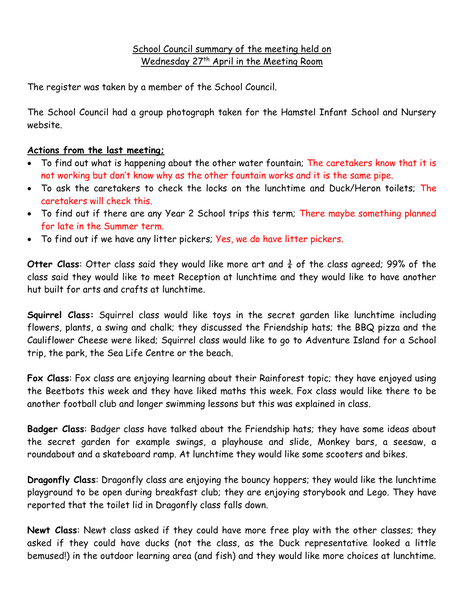## School Council summary of the meeting held on Wednesday 27<sup>th</sup> April in the Meeting Room

The register was taken by a member of the School Council.

The School Council had a group photograph taken for the Hamstel Infant School and Nursery website.

## **Actions from the last meeting;**

- To find out what is happening about the other water fountain; The caretakers know that it is not working but don't know why as the other fountain works and it is the same pipe.
- To ask the caretakers to check the locks on the lunchtime and Duck/Heron toilets: The caretakers will check this.
- To find out if there are any Year 2 School trips this term; There maybe something planned for late in the Summer term.
- To find out if we have any litter pickers; Yes, we do have litter pickers.

**Otter Class:** Otter class said they would like more art and  $\frac{3}{4}$  of the class agreed; 99% of the class said they would like to meet Reception at lunchtime and they would like to have another hut built for arts and crafts at lunchtime.

**Squirrel Class:** Squirrel class would like toys in the secret garden like lunchtime including flowers, plants, a swing and chalk; they discussed the Friendship hats; the BBQ pizza and the Cauliflower Cheese were liked; Squirrel class would like to go to Adventure Island for a School trip, the park, the Sea Life Centre or the beach.

**Fox Class**: Fox class are enjoying learning about their Rainforest topic; they have enjoyed using the Beetbots this week and they have liked maths this week. Fox class would like there to be another football club and longer swimming lessons but this was explained in class.

**Badger Class**: Badger class have talked about the Friendship hats; they have some ideas about the secret garden for example swings, a playhouse and slide, Monkey bars, a seesaw, a roundabout and a skateboard ramp. At lunchtime they would like some scooters and bikes.

**Dragonfly Class**: Dragonfly class are enjoying the bouncy hoppers; they would like the lunchtime playground to be open during breakfast club; they are enjoying storybook and Lego. They have reported that the toilet lid in Dragonfly class falls down.

**Newt Class**: Newt class asked if they could have more free play with the other classes; they asked if they could have ducks (not the class, as the Duck representative looked a little bemused!) in the outdoor learning area (and fish) and they would like more choices at lunchtime.